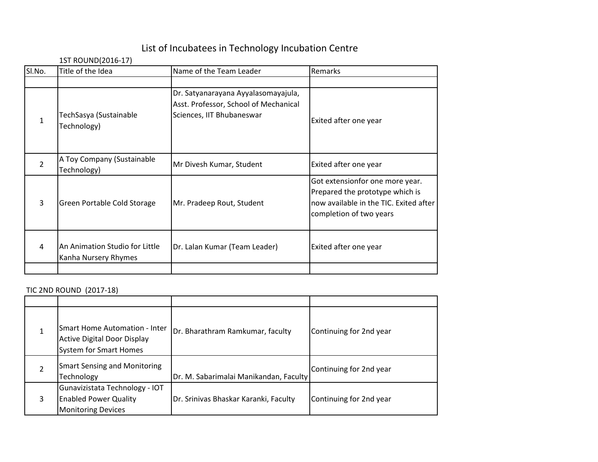## List of Incubatees in Technology Incubation Centre

## 1ST ROUND(2016-17)

| Title of the Idea                                      | Name of the Team Leader                                                                                   | Remarks                                                                                                                                 |
|--------------------------------------------------------|-----------------------------------------------------------------------------------------------------------|-----------------------------------------------------------------------------------------------------------------------------------------|
| TechSasya (Sustainable<br>Technology)                  | Dr. Satyanarayana Ayyalasomayajula,<br>Asst. Professor, School of Mechanical<br>Sciences, IIT Bhubaneswar | Exited after one year                                                                                                                   |
| A Toy Company (Sustainable<br>Technology)              | Mr Divesh Kumar, Student                                                                                  | Exited after one year                                                                                                                   |
| Green Portable Cold Storage                            | Mr. Pradeep Rout, Student                                                                                 | Got extensionfor one more year.<br>Prepared the prototype which is<br>now available in the TIC. Exited after<br>completion of two years |
| An Animation Studio for Little<br>Kanha Nursery Rhymes | Dr. Lalan Kumar (Team Leader)                                                                             | Exited after one year                                                                                                                   |
|                                                        |                                                                                                           |                                                                                                                                         |

## TIC 2ND ROUND (2017-18)

|   | TIC ZND ROUND (Z017-18)                                                                                     |                                        |                         |  |  |
|---|-------------------------------------------------------------------------------------------------------------|----------------------------------------|-------------------------|--|--|
|   |                                                                                                             |                                        |                         |  |  |
|   | <b>Smart Home Automation - Inter</b><br><b>Active Digital Door Display</b><br><b>System for Smart Homes</b> | Dr. Bharathram Ramkumar, faculty       | Continuing for 2nd year |  |  |
|   | <b>Smart Sensing and Monitoring</b><br>Technology                                                           | Dr. M. Sabarimalai Manikandan, Faculty | Continuing for 2nd year |  |  |
| 3 | Gunavizistata Technology - IOT<br><b>Enabled Power Quality</b><br><b>Monitoring Devices</b>                 | Dr. Srinivas Bhaskar Karanki, Faculty  | Continuing for 2nd year |  |  |